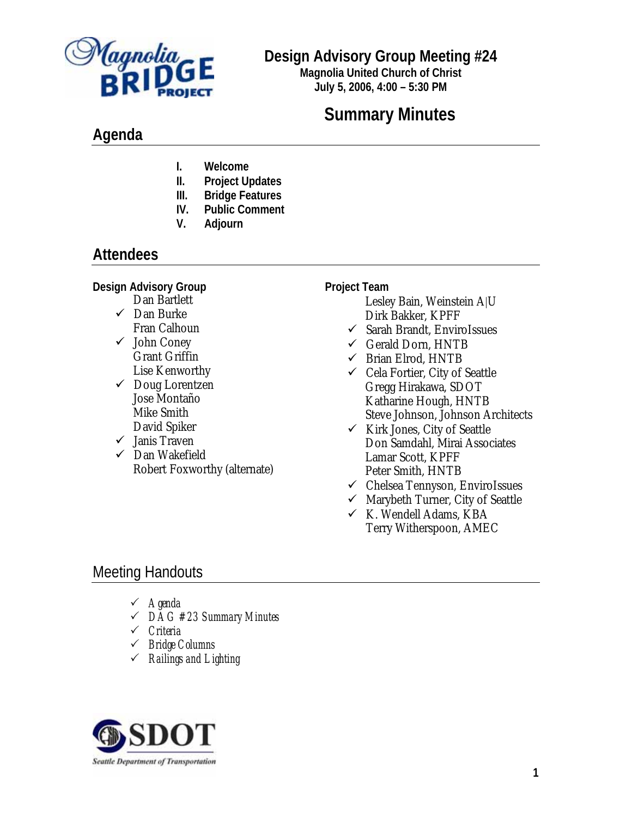

# **Design Advisory Group Meeting #24**

**Magnolia United Church of Christ July 5, 2006, 4:00 – 5:30 PM**

# **Summary Minutes**

# **Agenda**

- **I. Welcome**
- **II. Project Updates**
- **III. Bridge Features**
- **IV. Public Comment**
- **V. Adjourn**

# **Attendees**

**Design Advisory Group** 

- Dan Bartlett  $\checkmark$  Dan Burke Fran Calhoun
- $\checkmark$  John Coney Grant Griffin Lise Kenworthy
- $\checkmark$  Doug Lorentzen Jose Montaño Mike Smith David Spiker
- $\checkmark$  Janis Traven
- $\checkmark$  Dan Wakefield Robert Foxworthy (alternate)

#### **Project Team**

- Lesley Bain, Weinstein A|U Dirk Bakker, KPFF
- $\checkmark$  Sarah Brandt, EnviroIssues
- $\checkmark$  Gerald Dorn, HNTB
- $\checkmark$  Brian Elrod, HNTB
- $\checkmark$  Cela Fortier, City of Seattle Gregg Hirakawa, SDOT Katharine Hough, HNTB Steve Johnson, Johnson Architects
- $\checkmark$  Kirk Jones, City of Seattle Don Samdahl, Mirai Associates Lamar Scott, KPFF Peter Smith, HNTB
- $\checkmark$  Chelsea Tennyson, EnviroIssues
- $\checkmark$  Marybeth Turner, City of Seattle
- $\times$  K. Wendell Adams, KBA Terry Witherspoon, AMEC

# Meeting Handouts

- 3 *Agenda*
- 3 *DAG #23 Summary Minutes*
- 3 *Criteria*
- 3 *Bridge Columns*
- 3 *Railings and Lighting*

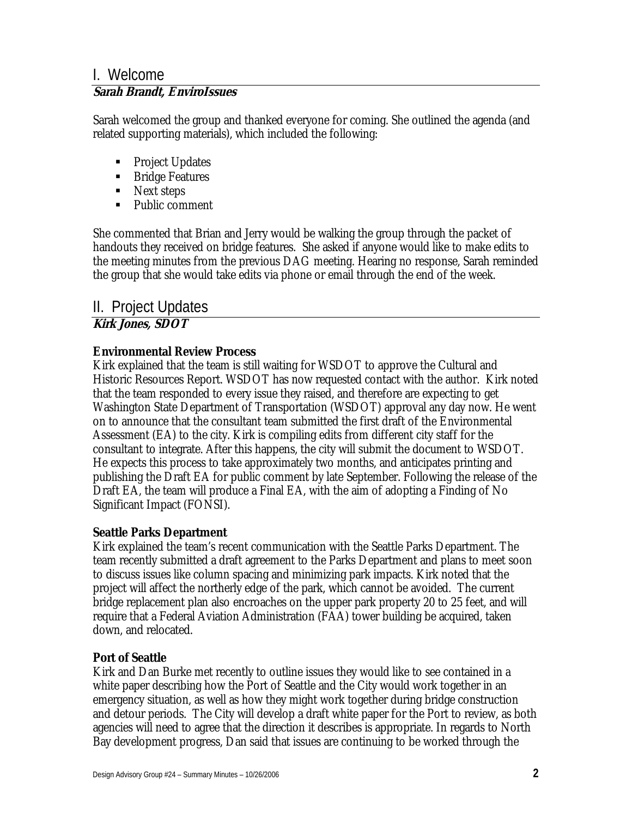## I. Welcome **Sarah Brandt, EnviroIssues**

Sarah welcomed the group and thanked everyone for coming. She outlined the agenda (and related supporting materials), which included the following:

- Project Updates
- **Bridge Features**
- Next steps
- Public comment

She commented that Brian and Jerry would be walking the group through the packet of handouts they received on bridge features. She asked if anyone would like to make edits to the meeting minutes from the previous DAG meeting. Hearing no response, Sarah reminded the group that she would take edits via phone or email through the end of the week.

# II. Project Updates

## **Kirk Jones, SDOT**

#### **Environmental Review Process**

Kirk explained that the team is still waiting for WSDOT to approve the Cultural and Historic Resources Report. WSDOT has now requested contact with the author. Kirk noted that the team responded to every issue they raised, and therefore are expecting to get Washington State Department of Transportation (WSDOT) approval any day now. He went on to announce that the consultant team submitted the first draft of the Environmental Assessment (EA) to the city. Kirk is compiling edits from different city staff for the consultant to integrate. After this happens, the city will submit the document to WSDOT. He expects this process to take approximately two months, and anticipates printing and publishing the Draft EA for public comment by late September. Following the release of the Draft EA, the team will produce a Final EA, with the aim of adopting a Finding of No Significant Impact (FONSI).

#### **Seattle Parks Department**

Kirk explained the team's recent communication with the Seattle Parks Department. The team recently submitted a draft agreement to the Parks Department and plans to meet soon to discuss issues like column spacing and minimizing park impacts. Kirk noted that the project will affect the northerly edge of the park, which cannot be avoided. The current bridge replacement plan also encroaches on the upper park property 20 to 25 feet, and will require that a Federal Aviation Administration (FAA) tower building be acquired, taken down, and relocated.

## **Port of Seattle**

Kirk and Dan Burke met recently to outline issues they would like to see contained in a white paper describing how the Port of Seattle and the City would work together in an emergency situation, as well as how they might work together during bridge construction and detour periods. The City will develop a draft white paper for the Port to review, as both agencies will need to agree that the direction it describes is appropriate. In regards to North Bay development progress, Dan said that issues are continuing to be worked through the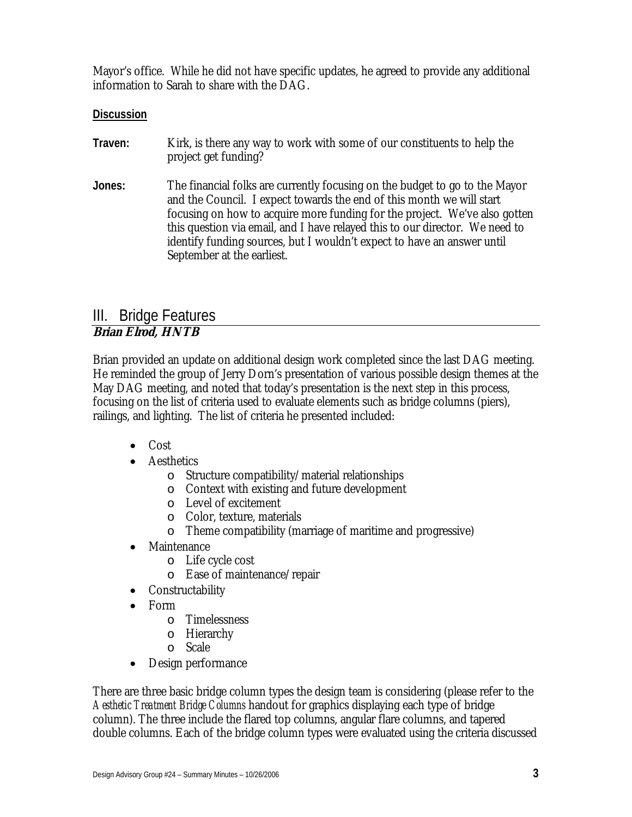Mayor's office. While he did not have specific updates, he agreed to provide any additional information to Sarah to share with the DAG.

#### **Discussion**

- **Traven:** Kirk, is there any way to work with some of our constituents to help the project get funding?
- **Jones:** The financial folks are currently focusing on the budget to go to the Mayor and the Council. I expect towards the end of this month we will start focusing on how to acquire more funding for the project. We've also gotten this question via email, and I have relayed this to our director. We need to identify funding sources, but I wouldn't expect to have an answer until September at the earliest.

### III. Bridge Features **Brian Elrod, HNTB**

Brian provided an update on additional design work completed since the last DAG meeting. He reminded the group of Jerry Dorn's presentation of various possible design themes at the May DAG meeting, and noted that today's presentation is the next step in this process, focusing on the list of criteria used to evaluate elements such as bridge columns (piers), railings, and lighting. The list of criteria he presented included:

- Cost
- Aesthetics
	- o Structure compatibility/material relationships
	- o Context with existing and future development
	- o Level of excitement
	- o Color, texture, materials
	- o Theme compatibility (marriage of maritime and progressive)
- Maintenance
	- o Life cycle cost
	- o Ease of maintenance/repair
- Constructability
- Form
	- o Timelessness
	- o Hierarchy
	- o Scale
- Design performance

There are three basic bridge column types the design team is considering (please refer to the *Aesthetic Treatment Bridge Columns* handout for graphics displaying each type of bridge column). The three include the flared top columns, angular flare columns, and tapered double columns. Each of the bridge column types were evaluated using the criteria discussed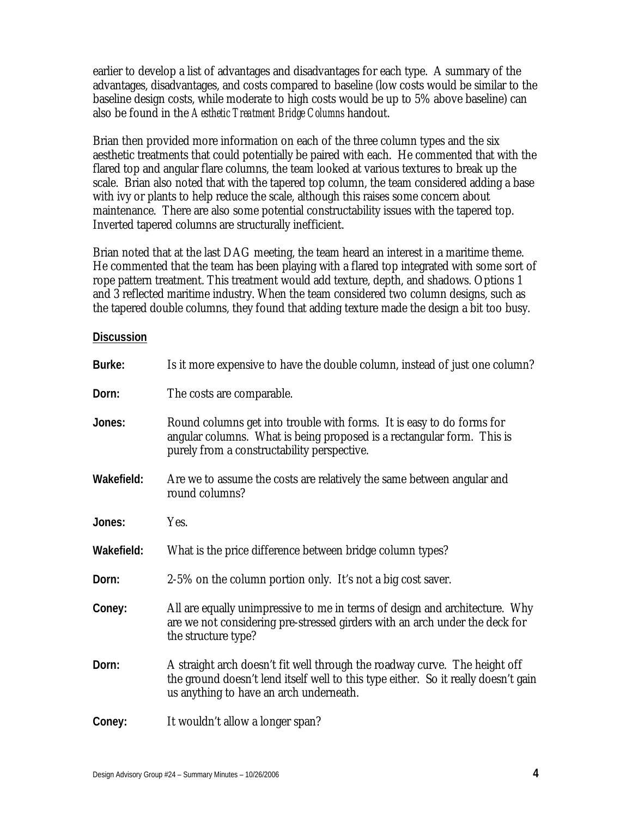earlier to develop a list of advantages and disadvantages for each type. A summary of the advantages, disadvantages, and costs compared to baseline (low costs would be similar to the baseline design costs, while moderate to high costs would be up to 5% above baseline) can also be found in the *Aesthetic Treatment Bridge Columns* handout.

Brian then provided more information on each of the three column types and the six aesthetic treatments that could potentially be paired with each. He commented that with the flared top and angular flare columns, the team looked at various textures to break up the scale. Brian also noted that with the tapered top column, the team considered adding a base with ivy or plants to help reduce the scale, although this raises some concern about maintenance. There are also some potential constructability issues with the tapered top. Inverted tapered columns are structurally inefficient.

Brian noted that at the last DAG meeting, the team heard an interest in a maritime theme. He commented that the team has been playing with a flared top integrated with some sort of rope pattern treatment. This treatment would add texture, depth, and shadows. Options 1 and 3 reflected maritime industry. When the team considered two column designs, such as the tapered double columns, they found that adding texture made the design a bit too busy.

#### **Discussion**

| Burke:     | Is it more expensive to have the double column, instead of just one column?                                                                                                                                 |
|------------|-------------------------------------------------------------------------------------------------------------------------------------------------------------------------------------------------------------|
| Dorn:      | The costs are comparable.                                                                                                                                                                                   |
| Jones:     | Round columns get into trouble with forms. It is easy to do forms for<br>angular columns. What is being proposed is a rectangular form. This is<br>purely from a constructability perspective.              |
| Wakefield: | Are we to assume the costs are relatively the same between angular and<br>round columns?                                                                                                                    |
| Jones:     | Yes.                                                                                                                                                                                                        |
| Wakefield: | What is the price difference between bridge column types?                                                                                                                                                   |
| Dorn:      | 2-5% on the column portion only. It's not a big cost saver.                                                                                                                                                 |
| Coney:     | All are equally unimpressive to me in terms of design and architecture. Why<br>are we not considering pre-stressed girders with an arch under the deck for<br>the structure type?                           |
| Dorn:      | A straight arch doesn't fit well through the roadway curve. The height off<br>the ground doesn't lend itself well to this type either. So it really doesn't gain<br>us anything to have an arch underneath. |
| Coney:     | It wouldn't allow a longer span?                                                                                                                                                                            |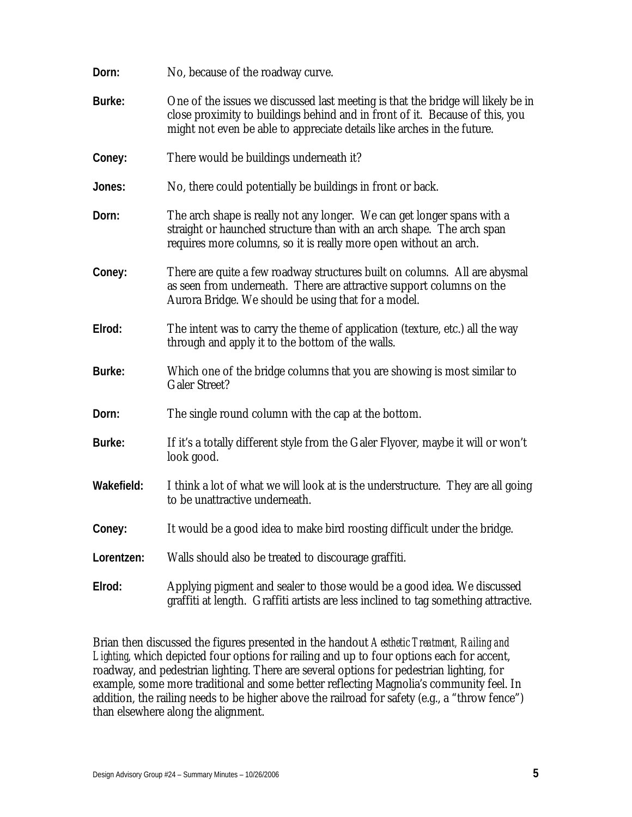| Dorn:      | No, because of the roadway curve.                                                                                                                                                                                                           |
|------------|---------------------------------------------------------------------------------------------------------------------------------------------------------------------------------------------------------------------------------------------|
| Burke:     | One of the issues we discussed last meeting is that the bridge will likely be in<br>close proximity to buildings behind and in front of it. Because of this, you<br>might not even be able to appreciate details like arches in the future. |
| Coney:     | There would be buildings underneath it?                                                                                                                                                                                                     |
| Jones:     | No, there could potentially be buildings in front or back.                                                                                                                                                                                  |
| Dorn:      | The arch shape is really not any longer. We can get longer spans with a<br>straight or haunched structure than with an arch shape. The arch span<br>requires more columns, so it is really more open without an arch.                       |
| Coney:     | There are quite a few roadway structures built on columns. All are abysmal<br>as seen from underneath. There are attractive support columns on the<br>Aurora Bridge. We should be using that for a model.                                   |
| Elrod:     | The intent was to carry the theme of application (texture, etc.) all the way<br>through and apply it to the bottom of the walls.                                                                                                            |
| Burke:     | Which one of the bridge columns that you are showing is most similar to<br><b>Galer Street?</b>                                                                                                                                             |
| Dorn:      | The single round column with the cap at the bottom.                                                                                                                                                                                         |
| Burke:     | If it's a totally different style from the Galer Flyover, maybe it will or won't<br>look good.                                                                                                                                              |
| Wakefield: | I think a lot of what we will look at is the understructure. They are all going<br>to be unattractive underneath.                                                                                                                           |
| Coney:     | It would be a good idea to make bird roosting difficult under the bridge.                                                                                                                                                                   |
| Lorentzen: | Walls should also be treated to discourage graffiti.                                                                                                                                                                                        |
| Elrod:     | Applying pigment and sealer to those would be a good idea. We discussed<br>graffiti at length. Graffiti artists are less inclined to tag something attractive.                                                                              |

Brian then discussed the figures presented in the handout *Aesthetic Treatment, Railing and*  Lighting, which depicted four options for railing and up to four options each for accent, roadway, and pedestrian lighting. There are several options for pedestrian lighting, for example, some more traditional and some better reflecting Magnolia's community feel. In addition, the railing needs to be higher above the railroad for safety (e.g., a "throw fence") than elsewhere along the alignment.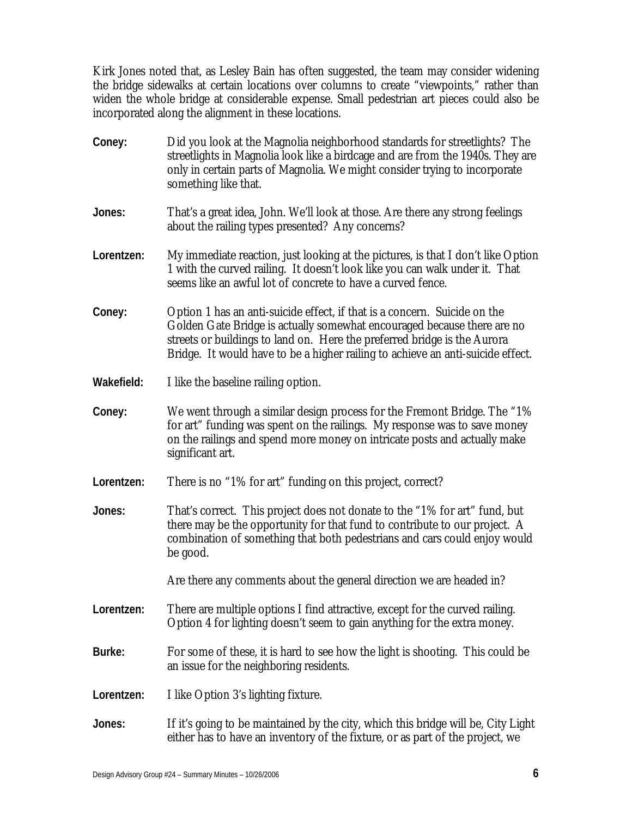Kirk Jones noted that, as Lesley Bain has often suggested, the team may consider widening the bridge sidewalks at certain locations over columns to create "viewpoints," rather than widen the whole bridge at considerable expense. Small pedestrian art pieces could also be incorporated along the alignment in these locations.

**Coney:** Did you look at the Magnolia neighborhood standards for streetlights? The streetlights in Magnolia look like a birdcage and are from the 1940s. They are only in certain parts of Magnolia. We might consider trying to incorporate something like that. **Jones:** That's a great idea, John. We'll look at those. Are there any strong feelings about the railing types presented? Any concerns? **Lorentzen:** My immediate reaction, just looking at the pictures, is that I don't like Option 1 with the curved railing. It doesn't look like you can walk under it. That seems like an awful lot of concrete to have a curved fence. **Coney:** Option 1 has an anti-suicide effect, if that is a concern. Suicide on the Golden Gate Bridge is actually somewhat encouraged because there are no streets or buildings to land on. Here the preferred bridge is the Aurora Bridge. It would have to be a higher railing to achieve an anti-suicide effect. **Wakefield:** I like the baseline railing option. **Coney:** We went through a similar design process for the Fremont Bridge. The "1% for art" funding was spent on the railings. My response was to save money on the railings and spend more money on intricate posts and actually make significant art. **Lorentzen:** There is no "1% for art" funding on this project, correct? **Jones:** That's correct. This project does not donate to the "1% for art" fund, but there may be the opportunity for that fund to contribute to our project. A combination of something that both pedestrians and cars could enjoy would be good. Are there any comments about the general direction we are headed in? **Lorentzen:** There are multiple options I find attractive, except for the curved railing. Option 4 for lighting doesn't seem to gain anything for the extra money. **Burke:** For some of these, it is hard to see how the light is shooting. This could be an issue for the neighboring residents. **Lorentzen:** I like Option 3's lighting fixture. **Jones:** If it's going to be maintained by the city, which this bridge will be, City Light either has to have an inventory of the fixture, or as part of the project, we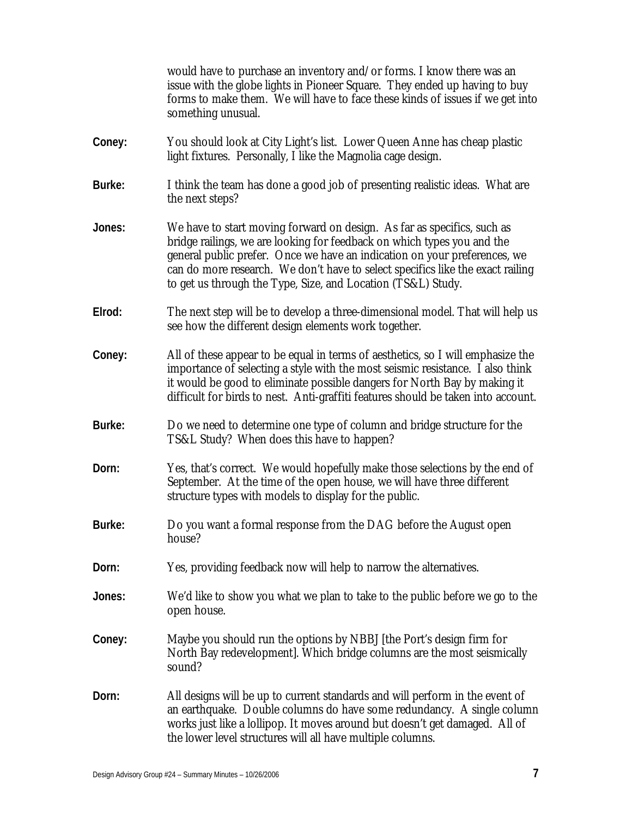|        | would have to purchase an inventory and/or forms. I know there was an<br>issue with the globe lights in Pioneer Square. They ended up having to buy<br>forms to make them. We will have to face these kinds of issues if we get into<br>something unusual.                                                                                                                        |
|--------|-----------------------------------------------------------------------------------------------------------------------------------------------------------------------------------------------------------------------------------------------------------------------------------------------------------------------------------------------------------------------------------|
| Coney: | You should look at City Light's list. Lower Queen Anne has cheap plastic<br>light fixtures. Personally, I like the Magnolia cage design.                                                                                                                                                                                                                                          |
| Burke: | I think the team has done a good job of presenting realistic ideas. What are<br>the next steps?                                                                                                                                                                                                                                                                                   |
| Jones: | We have to start moving forward on design. As far as specifics, such as<br>bridge railings, we are looking for feedback on which types you and the<br>general public prefer. Once we have an indication on your preferences, we<br>can do more research. We don't have to select specifics like the exact railing<br>to get us through the Type, Size, and Location (TS&L) Study. |
| Elrod: | The next step will be to develop a three-dimensional model. That will help us<br>see how the different design elements work together.                                                                                                                                                                                                                                             |
| Coney: | All of these appear to be equal in terms of aesthetics, so I will emphasize the<br>importance of selecting a style with the most seismic resistance. I also think<br>it would be good to eliminate possible dangers for North Bay by making it<br>difficult for birds to nest. Anti-graffiti features should be taken into account.                                               |
| Burke: | Do we need to determine one type of column and bridge structure for the<br>TS&L Study? When does this have to happen?                                                                                                                                                                                                                                                             |
| Dorn:  | Yes, that's correct. We would hopefully make those selections by the end of<br>September. At the time of the open house, we will have three different<br>structure types with models to display for the public.                                                                                                                                                                   |
| Burke: | Do you want a formal response from the DAG before the August open<br>house?                                                                                                                                                                                                                                                                                                       |
| Dorn:  | Yes, providing feedback now will help to narrow the alternatives.                                                                                                                                                                                                                                                                                                                 |
| Jones: | We'd like to show you what we plan to take to the public before we go to the<br>open house.                                                                                                                                                                                                                                                                                       |
| Coney: | Maybe you should run the options by NBBJ [the Port's design firm for<br>North Bay redevelopment]. Which bridge columns are the most seismically<br>sound?                                                                                                                                                                                                                         |
| Dorn:  | All designs will be up to current standards and will perform in the event of<br>an earthquake. Double columns do have some redundancy. A single column<br>works just like a lollipop. It moves around but doesn't get damaged. All of<br>the lower level structures will all have multiple columns.                                                                               |